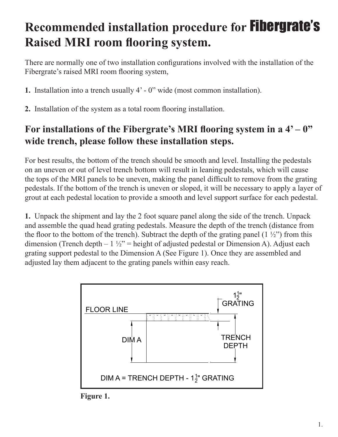## **Recommended installation procedure for** Fibergrate's **Raised MRI room flooring system.**

There are normally one of two installation configurations involved with the installation of the Fibergrate's raised MRI room flooring system,

- **1.** Installation into a trench usually 4' 0" wide (most common installation).
- **2.** Installation of the system as a total room flooring installation.

## For installations of the Fibergrate's MRI flooring system in a  $4' - 0''$ **wide trench, please follow these installation steps.**

For best results, the bottom of the trench should be smooth and level. Installing the pedestals on an uneven or out of level trench bottom will result in leaning pedestals, which will cause the tops of the MRI panels to be uneven, making the panel difficult to remove from the grating pedestals. If the bottom of the trench is uneven or sloped, it will be necessary to apply a layer of grout at each pedestal location to provide a smooth and level support surface for each pedestal.

**1.** Unpack the shipment and lay the 2 foot square panel along the side of the trench. Unpack and assemble the quad head grating pedestals. Measure the depth of the trench (distance from the floor to the bottom of the trench). Subtract the depth of the grating panel  $(1 \frac{1}{2})$  from this dimension (Trench depth  $-1\frac{1}{2}$ " = height of adjusted pedestal or Dimension A). Adjust each grating support pedestal to the Dimension A (See Figure 1). Once they are assembled and adjusted lay them adjacent to the grating panels within easy reach.



**Figure 1.**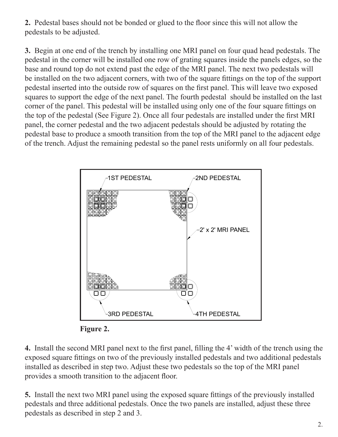**2.** Pedestal bases should not be bonded or glued to the floor since this will not allow the pedestals to be adjusted.

**3.** Begin at one end of the trench by installing one MRI panel on four quad head pedestals. The pedestal in the corner will be installed one row of grating squares inside the panels edges, so the base and round top do not extend past the edge of the MRI panel. The next two pedestals will be installed on the two adjacent corners, with two of the square fittings on the top of the support pedestal inserted into the outside row of squares on the first panel. This will leave two exposed squares to support the edge of the next panel. The fourth pedestal should be installed on the last corner of the panel. This pedestal will be installed using only one of the four square fittings on the top of the pedestal (See Figure 2). Once all four pedestals are installed under the first MRI panel, the corner pedestal and the two adjacent pedestals should be adjusted by rotating the pedestal base to produce a smooth transition from the top of the MRI panel to the adjacent edge of the trench. Adjust the remaining pedestal so the panel rests uniformly on all four pedestals.





**4.** Install the second MRI panel next to the first panel, filling the 4' width of the trench using the exposed square fittings on two of the previously installed pedestals and two additional pedestals installed as described in step two. Adjust these two pedestals so the top of the MRI panel provides a smooth transition to the adjacent floor.

**5.** Install the next two MRI panel using the exposed square fittings of the previously installed pedestals and three additional pedestals. Once the two panels are installed, adjust these three pedestals as described in step 2 and 3.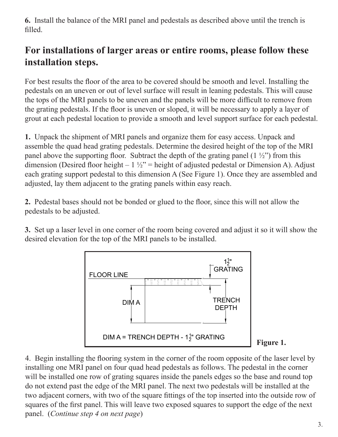**6.** Install the balance of the MRI panel and pedestals as described above until the trench is filled.

## **For installations of larger areas or entire rooms, please follow these installation steps.**

For best results the floor of the area to be covered should be smooth and level. Installing the pedestals on an uneven or out of level surface will result in leaning pedestals. This will cause the tops of the MRI panels to be uneven and the panels will be more difficult to remove from the grating pedestals. If the floor is uneven or sloped, it will be necessary to apply a layer of grout at each pedestal location to provide a smooth and level support surface for each pedestal.

**1.** Unpack the shipment of MRI panels and organize them for easy access. Unpack and assemble the quad head grating pedestals. Determine the desired height of the top of the MRI panel above the supporting floor. Subtract the depth of the grating panel  $(1 \frac{1}{2})$  from this dimension (Desired floor height –  $1\frac{1}{2}$ " = height of adjusted pedestal or Dimension A). Adjust each grating support pedestal to this dimension A (See Figure 1). Once they are assembled and adjusted, lay them adjacent to the grating panels within easy reach.

**2.** Pedestal bases should not be bonded or glued to the floor, since this will not allow the pedestals to be adjusted.

**3.** Set up a laser level in one corner of the room being covered and adjust it so it will show the desired elevation for the top of the MRI panels to be installed.



**Figure 1.** 

4. Begin installing the flooring system in the corner of the room opposite of the laser level by installing one MRI panel on four quad head pedestals as follows. The pedestal in the corner will be installed one row of grating squares inside the panels edges so the base and round top do not extend past the edge of the MRI panel. The next two pedestals will be installed at the two adjacent corners, with two of the square fittings of the top inserted into the outside row of squares of the first panel. This will leave two exposed squares to support the edge of the next panel. (*Continue step 4 on next page*)